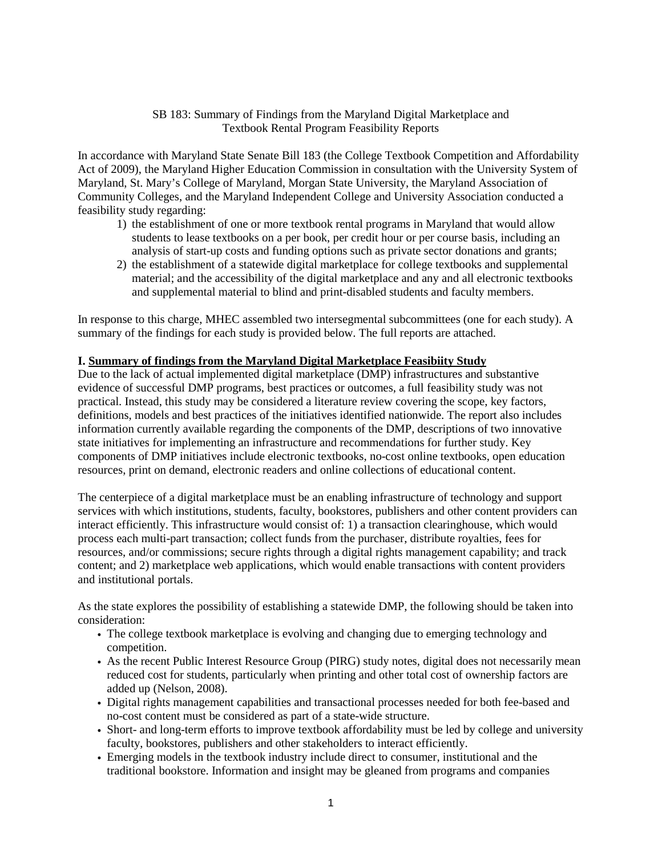# SB 183: Summary of Findings from the Maryland Digital Marketplace and Textbook Rental Program Feasibility Reports

In accordance with Maryland State Senate Bill 183 (the College Textbook Competition and Affordability Act of 2009), the Maryland Higher Education Commission in consultation with the University System of Maryland, St. Mary's College of Maryland, Morgan State University, the Maryland Association of Community Colleges, and the Maryland Independent College and University Association conducted a feasibility study regarding:

- 1) the establishment of one or more textbook rental programs in Maryland that would allow students to lease textbooks on a per book, per credit hour or per course basis, including an analysis of start-up costs and funding options such as private sector donations and grants;
- 2) the establishment of a statewide digital marketplace for college textbooks and supplemental material; and the accessibility of the digital marketplace and any and all electronic textbooks and supplemental material to blind and print-disabled students and faculty members.

In response to this charge, MHEC assembled two intersegmental subcommittees (one for each study). A summary of the findings for each study is provided below. The full reports are attached.

# **I. Summary of findings from the Maryland Digital Marketplace Feasibiity Study**

Due to the lack of actual implemented digital marketplace (DMP) infrastructures and substantive evidence of successful DMP programs, best practices or outcomes, a full feasibility study was not practical. Instead, this study may be considered a literature review covering the scope, key factors, definitions, models and best practices of the initiatives identified nationwide. The report also includes information currently available regarding the components of the DMP, descriptions of two innovative state initiatives for implementing an infrastructure and recommendations for further study. Key components of DMP initiatives include electronic textbooks, no-cost online textbooks, open education resources, print on demand, electronic readers and online collections of educational content.

The centerpiece of a digital marketplace must be an enabling infrastructure of technology and support services with which institutions, students, faculty, bookstores, publishers and other content providers can interact efficiently. This infrastructure would consist of: 1) a transaction clearinghouse, which would process each multi-part transaction; collect funds from the purchaser, distribute royalties, fees for resources, and/or commissions; secure rights through a digital rights management capability; and track content; and 2) marketplace web applications, which would enable transactions with content providers and institutional portals.

As the state explores the possibility of establishing a statewide DMP, the following should be taken into consideration:

- The college textbook marketplace is evolving and changing due to emerging technology and competition.
- As the recent Public Interest Resource Group (PIRG) study notes, digital does not necessarily mean reduced cost for students, particularly when printing and other total cost of ownership factors are added up (Nelson, 2008).
- Digital rights management capabilities and transactional processes needed for both fee-based and no-cost content must be considered as part of a state-wide structure.
- Short- and long-term efforts to improve textbook affordability must be led by college and university faculty, bookstores, publishers and other stakeholders to interact efficiently.
- Emerging models in the textbook industry include direct to consumer, institutional and the traditional bookstore. Information and insight may be gleaned from programs and companies